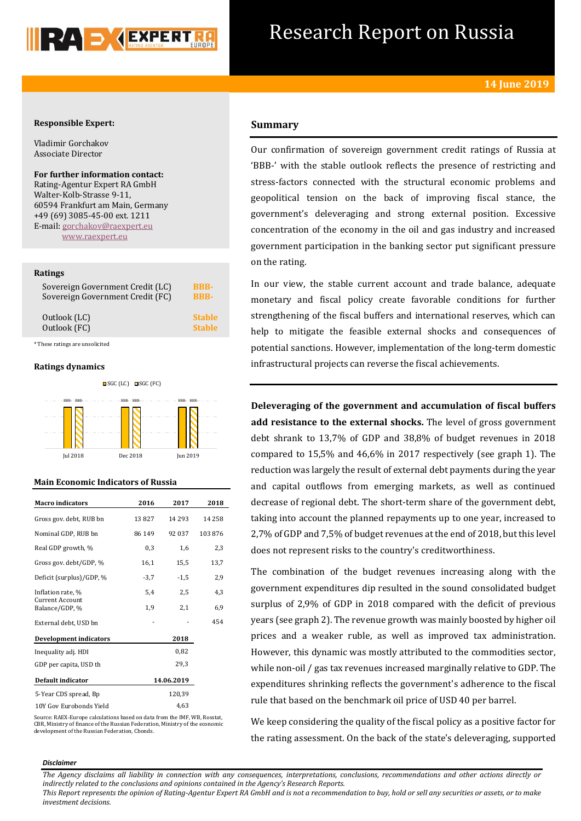

## Research Report on Russia

## **Responsible Expert:**

Vladimir Gorchakov Associate Director

**For further information contact:** Rating-Agentur Expert RA GmbH Walter-Kolb-Strasse 9-11, 60594 Frankfurt am Main, Germany +49 (69) 3085-45-00 ext. 1211 E-mail: [gorchakov@raexpert.eu](mailto:gorchakov@raexpert.eu) [www.raexpert.eu](http://raexpert.eu/)

### **Ratings**

| Sovereign Government Credit (LC) | <b>BBB-</b>   |
|----------------------------------|---------------|
| Sovereign Government Credit (FC) | <b>BBB-</b>   |
| Outlook (LC)                     | <b>Stable</b> |
| Outlook (FC)                     | <b>Stable</b> |

\* These ratings are unsolicited

## **Ratings dynamics**



## **Main Economic Indicators of Russia**

| <b>Macro</b> indicators                  | 2016   | 2017       | 2018     |
|------------------------------------------|--------|------------|----------|
| Gross gov. debt, RUB bn                  | 13827  | 14 29 3    | 14 2 5 8 |
| Nominal GDP, RUB bn                      | 86 149 | 92 037     | 103876   |
| Real GDP growth, %                       | 0,3    | 1,6        | 2,3      |
| Gross gov. debt/GDP, %                   | 16,1   | 15,5       | 13,7     |
| Deficit (surplus)/GDP, %                 | $-3,7$ | $-1.5$     | 2,9      |
| Inflation rate, %                        | 5,4    | 2,5        | 4,3      |
| <b>Current Account</b><br>Balance/GDP, % | 1,9    | 2,1        | 6,9      |
| External debt, USD bn                    |        |            | 454      |
| <b>Development indicators</b>            |        | 2018       |          |
| Inequality adj. HDI                      |        | 0.82       |          |
| GDP per capita, USD th                   |        | 29.3       |          |
| Default indicator                        |        | 14.06.2019 |          |
| 5-Year CDS spread, Bp                    |        | 120,39     |          |
| 10Y Gov Eurobonds Yield                  |        | 4.63       |          |

Source: RAEX-Europe calculations based on data from the IMF, WB, Rosstat, CBR, Ministry of finance of the Russian Federation, Ministry of the economic development of the Russian Federation, Cbonds.

## **Summary**

Our confirmation of sovereign government credit ratings of Russia at 'BBB-' with the stable outlook reflects the presence of restricting and stress-factors connected with the structural economic problems and geopolitical tension on the back of improving fiscal stance, the government's deleveraging and strong external position. Excessive concentration of the economy in the oil and gas industry and increased government participation in the banking sector put significant pressure on the rating.

In our view, the stable current account and trade balance, adequate monetary and fiscal policy create favorable conditions for further strengthening of the fiscal buffers and international reserves, which can help to mitigate the feasible external shocks and consequences of potential sanctions. However, implementation of the long-term domestic infrastructural projects can reverse the fiscal achievements.

**Deleveraging of the government and accumulation of fiscal buffers add resistance to the external shocks.** The level of gross government debt shrank to 13,7% of GDP and 38,8% of budget revenues in 2018 compared to 15,5% and 46,6% in 2017 respectively (see graph 1). The reduction was largely the result of external debt payments during the year and capital outflows from emerging markets, as well as continued decrease of regional debt. The short-term share of the government debt, taking into account the planned repayments up to one year, increased to 2,7% of GDP and 7,5% of budget revenues at the end of 2018, but this level does not represent risks to the country's creditworthiness.

The combination of the budget revenues increasing along with the government expenditures dip resulted in the sound consolidated budget surplus of 2,9% of GDP in 2018 compared with the deficit of previous years (see graph 2). The revenue growth was mainly boosted by higher oil prices and a weaker ruble, as well as improved tax administration. However, this dynamic was mostly attributed to the commodities sector, while non-oil / gas tax revenues increased marginally relative to GDP. The expenditures shrinking reflects the government's adherence to the fiscal rule that based on the benchmark oil price of USD 40 per barrel.

We keep considering the quality of the fiscal policy as a positive factor for the rating assessment. On the back of the state's deleveraging, supported

#### *Disclaimer*

*The Agency disclaims all liability in connection with any consequences, interpretations, conclusions, recommendations and other actions directly or indirectly related to the conclusions and opinions contained in the Agency's Research Reports.*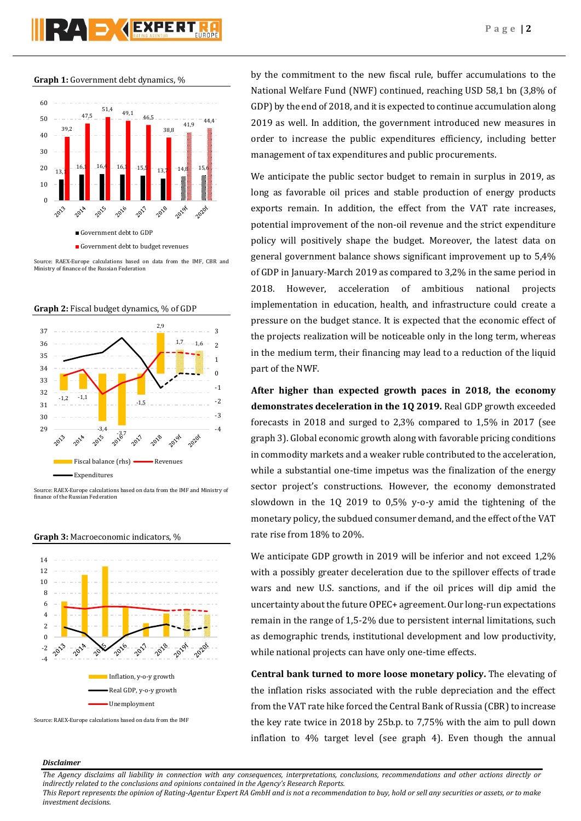# RAD **(EXPERT**



**Graph 1:** Government debt dynamics, %

Source: RAEX-Europe calculations based on data from the IMF, CBR and Ministry of finance of the Russian Federation





Source: RAEX-Europe calculations based on data from the IMF and Ministry of finance of the Russian Federation

**Graph 3:** Macroeconomic indicators, %



Source: RAEX-Europe calculations based on data from the IMF

by the commitment to the new fiscal rule, buffer accumulations to the National Welfare Fund (NWF) continued, reaching USD 58,1 bn (3,8% of GDP) by the end of 2018, and it is expected to continue accumulation along 2019 as well. In addition, the government introduced new measures in order to increase the public expenditures efficiency, including better management of tax expenditures and public procurements.

We anticipate the public sector budget to remain in surplus in 2019, as long as favorable oil prices and stable production of energy products exports remain. In addition, the effect from the VAT rate increases, potential improvement of the non-oil revenue and the strict expenditure policy will positively shape the budget. Moreover, the latest data on general government balance shows significant improvement up to 5,4% of GDP in January-March 2019 as compared to 3,2% in the same period in 2018. However, acceleration of ambitious national projects implementation in education, health, and infrastructure could create a pressure on the budget stance. It is expected that the economic effect of the projects realization will be noticeable only in the long term, whereas in the medium term, their financing may lead to a reduction of the liquid part of the NWF.

**After higher than expected growth paces in 2018, the economy demonstrates deceleration in the 1Q 2019.** Real GDP growth exceeded forecasts in 2018 and surged to 2,3% compared to 1,5% in 2017 (see graph 3). Global economic growth along with favorable pricing conditions in commodity markets and a weaker ruble contributed to the acceleration, while a substantial one-time impetus was the finalization of the energy sector project's constructions. However, the economy demonstrated slowdown in the 1Q 2019 to 0,5% y-o-y amid the tightening of the monetary policy, the subdued consumer demand, and the effect of the VAT rate rise from 18% to 20%.

We anticipate GDP growth in 2019 will be inferior and not exceed 1,2% with a possibly greater deceleration due to the spillover effects of trade wars and new U.S. sanctions, and if the oil prices will dip amid the uncertainty about the future OPEC+ agreement. Our long-run expectations remain in the range of 1,5-2% due to persistent internal limitations, such as demographic trends, institutional development and low productivity, while national projects can have only one-time effects.

**Central bank turned to more loose monetary policy.** The elevating of the inflation risks associated with the ruble depreciation and the effect from the VAT rate hike forced the Central Bank of Russia (CBR) to increase the key rate twice in 2018 by 25b.p. to 7,75% with the aim to pull down inflation to 4% target level (see graph 4). Even though the annual

## *Disclaimer*

*The Agency disclaims all liability in connection with any consequences, interpretations, conclusions, recommendations and other actions directly or indirectly related to the conclusions and opinions contained in the Agency's Research Reports.*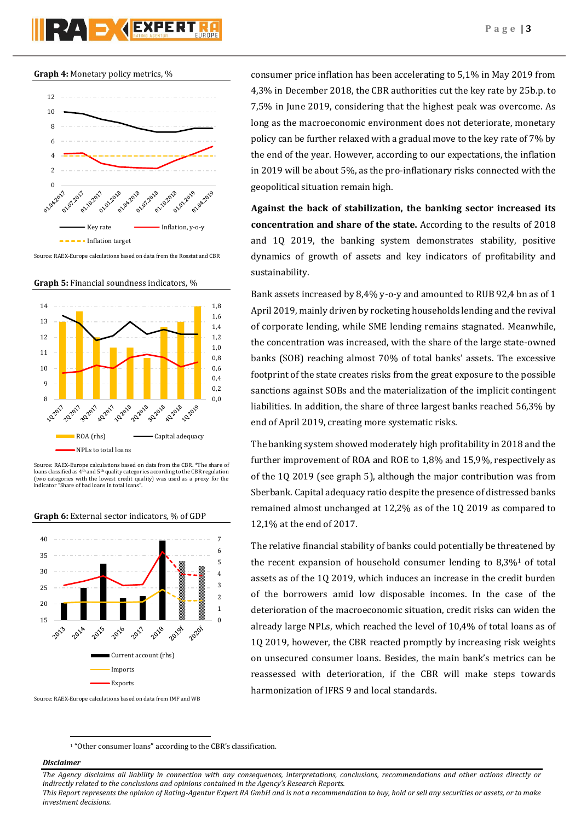**Graph 4:** Monetary policy metrics, %



Source: RAEX-Europe calculations based on data from the Rosstat and CBR

**Graph 5:** Financial soundness indicators, %



Source: RAEX-Europe calculations based on data from the CBR. \*The share of loans classified as  $4<sup>th</sup>$  and  $5<sup>th</sup>$  quality categories according to the CBR regulation (two categories with the lowest credit quality) was used as a proxy for the indicator "Share of bad loans in total loans".



**Graph 6:** External sector indicators, % of GDP

Source: RAEX-Europe calculations based on data from IMF and WB

consumer price inflation has been accelerating to 5,1% in May 2019 from 4,3% in December 2018, the CBR authorities cut the key rate by 25b.p. to 7,5% in June 2019, considering that the highest peak was overcome. As long as the macroeconomic environment does not deteriorate, monetary policy can be further relaxed with a gradual move to the key rate of 7% by the end of the year. However, according to our expectations, the inflation in 2019 will be about 5%, as the pro-inflationary risks connected with the geopolitical situation remain high.

**Against the back of stabilization, the banking sector increased its concentration and share of the state.** According to the results of 2018 and 1Q 2019, the banking system demonstrates stability, positive dynamics of growth of assets and key indicators of profitability and sustainability.

Bank assets increased by 8,4% y-o-y and amounted to RUB 92,4 bn as of 1 April 2019, mainly driven by rocketing households lending and the revival of corporate lending, while SME lending remains stagnated. Meanwhile, the concentration was increased, with the share of the large state-owned banks (SOB) reaching almost 70% of total banks' assets. The excessive footprint of the state creates risks from the great exposure to the possible sanctions against SOBs and the materialization of the implicit contingent liabilities. In addition, the share of three largest banks reached 56,3% by end of April 2019, creating more systematic risks.

The banking system showed moderately high profitability in 2018 and the further improvement of ROA and ROE to 1,8% and 15,9%, respectively as of the 1Q 2019 (see graph 5), although the major contribution was from Sberbank. Capital adequacy ratio despite the presence of distressed banks remained almost unchanged at 12,2% as of the 1Q 2019 as compared to 12,1% at the end of 2017.

The relative financial stability of banks could potentially be threatened by the recent expansion of household consumer lending to  $8,3\%$ <sup>1</sup> of total assets as of the 1Q 2019, which induces an increase in the credit burden of the borrowers amid low disposable incomes. In the case of the deterioration of the macroeconomic situation, credit risks can widen the already large NPLs, which reached the level of 10,4% of total loans as of 1Q 2019, however, the CBR reacted promptly by increasing risk weights on unsecured consumer loans. Besides, the main bank's metrics can be reassessed with deterioration, if the CBR will make steps towards harmonization of IFRS 9 and local standards.

<sup>1</sup> "Other consumer loans" according to the CBR's classification.

## *Disclaimer*

1

*The Agency disclaims all liability in connection with any consequences, interpretations, conclusions, recommendations and other actions directly or indirectly related to the conclusions and opinions contained in the Agency's Research Reports.*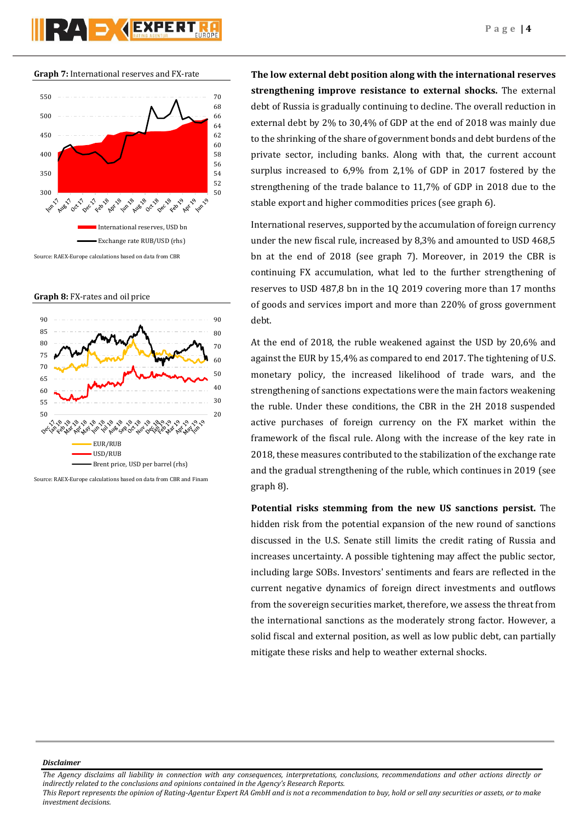**Graph 7:** International reserves and FX-rate



Source: RAEX-Europe calculations based on data from CBR

**Graph 8:** FX-rates and oil price



Source: RAEX-Europe calculations based on data from CBR and Finam

**The low external debt position along with the international reserves strengthening improve resistance to external shocks.** The external debt of Russia is gradually continuing to decline. The overall reduction in external debt by 2% to 30,4% of GDP at the end of 2018 was mainly due to the shrinking of the share of government bonds and debt burdens of the private sector, including banks. Along with that, the current account surplus increased to 6,9% from 2,1% of GDP in 2017 fostered by the strengthening of the trade balance to 11,7% of GDP in 2018 due to the stable export and higher commodities prices (see graph 6).

International reserves, supported by the accumulation of foreign currency under the new fiscal rule, increased by 8,3% and amounted to USD 468,5 bn at the end of 2018 (see graph 7). Moreover, in 2019 the CBR is continuing FX accumulation, what led to the further strengthening of reserves to USD 487,8 bn in the 1Q 2019 covering more than 17 months of goods and services import and more than 220% of gross government debt.

At the end of 2018, the ruble weakened against the USD by 20,6% and against the EUR by 15,4% as compared to end 2017. The tightening of U.S. monetary policy, the increased likelihood of trade wars, and the strengthening of sanctions expectations were the main factors weakening the ruble. Under these conditions, the CBR in the 2H 2018 suspended active purchases of foreign currency on the FX market within the framework of the fiscal rule. Along with the increase of the key rate in 2018, these measures contributed to the stabilization of the exchange rate and the gradual strengthening of the ruble, which continues in 2019 (see graph 8).

**Potential risks stemming from the new US sanctions persist.** The hidden risk from the potential expansion of the new round of sanctions discussed in the U.S. Senate still limits the credit rating of Russia and increases uncertainty. A possible tightening may affect the public sector, including large SOBs. Investors' sentiments and fears are reflected in the current negative dynamics of foreign direct investments and outflows from the sovereign securities market, therefore, we assess the threat from the international sanctions as the moderately strong factor. However, a solid fiscal and external position, as well as low public debt, can partially mitigate these risks and help to weather external shocks.

*Disclaimer* 

*The Agency disclaims all liability in connection with any consequences, interpretations, conclusions, recommendations and other actions directly or indirectly related to the conclusions and opinions contained in the Agency's Research Reports. This Report represents the opinion of Rating-Agentur Expert RA GmbH and is not a recommendation to buy, hold or sell any securities or assets, or to make* 

*investment decisions.*